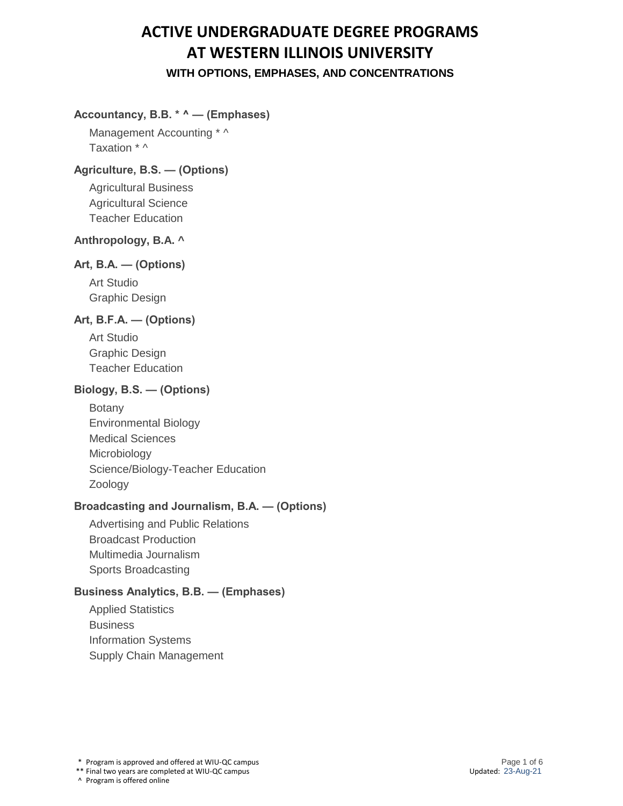### **Accountancy, B.B. \* ^ — (Emphases)**

Management Accounting \* ^ Taxation \* ^

#### **Agriculture, B.S. — (Options)**

Agricultural Business Agricultural Science Teacher Education

### **Anthropology, B.A. ^**

## **Art, B.A. — (Options)**

Art Studio Graphic Design

#### **Art, B.F.A. — (Options)**

Art Studio Graphic Design Teacher Education

#### **Biology, B.S. — (Options)**

Botany Environmental Biology Medical Sciences **Microbiology** Science/Biology-Teacher Education Zoology

#### **Broadcasting and Journalism, B.A. — (Options)**

Advertising and Public Relations Broadcast Production Multimedia Journalism Sports Broadcasting

## **Business Analytics, B.B. — (Emphases)**

Applied Statistics **Business** Information Systems Supply Chain Management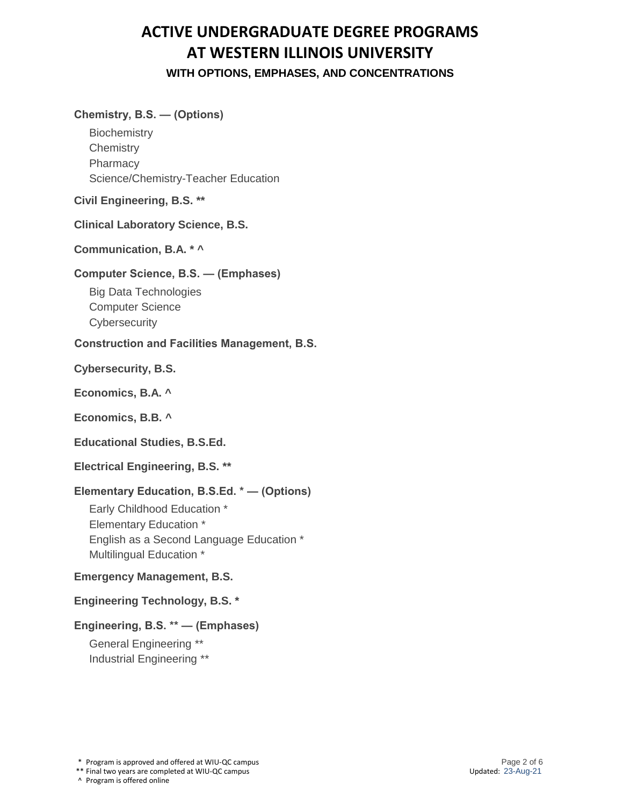#### **Chemistry, B.S. — (Options)**

**Biochemistry Chemistry Pharmacy** Science/Chemistry-Teacher Education

**Civil Engineering, B.S. \*\***

**Clinical Laboratory Science, B.S.**

**Communication, B.A. \* ^**

#### **Computer Science, B.S. — (Emphases)**

Big Data Technologies Computer Science **Cybersecurity** 

#### **Construction and Facilities Management, B.S.**

**Cybersecurity, B.S.**

**Economics, B.A. ^**

**Economics, B.B. ^**

**Educational Studies, B.S.Ed.**

**Electrical Engineering, B.S. \*\***

#### **Elementary Education, B.S.Ed. \* — (Options)**

Early Childhood Education \* Elementary Education \* English as a Second Language Education \* Multilingual Education \*

#### **Emergency Management, B.S.**

### **Engineering Technology, B.S. \***

## **Engineering, B.S. \*\* — (Emphases)**

General Engineering \*\* Industrial Engineering \*\*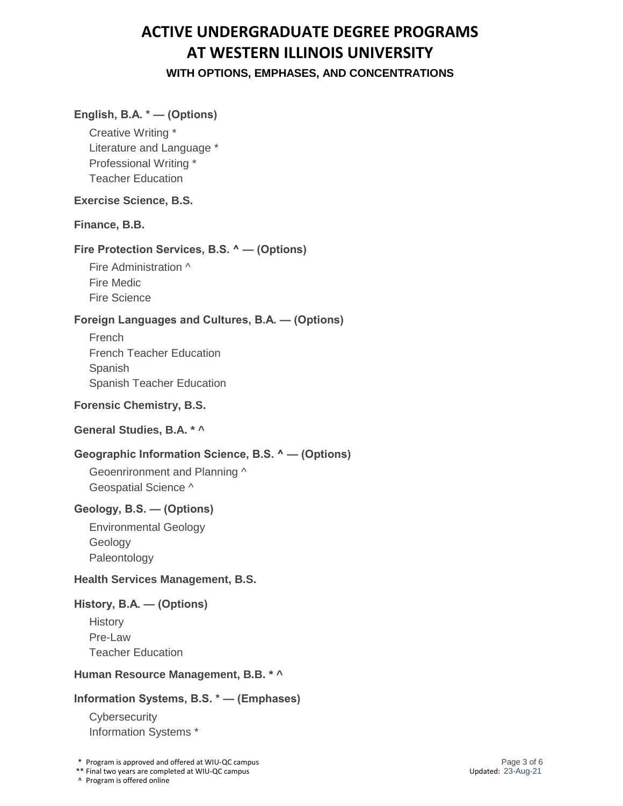### **English, B.A. \* — (Options)**

Creative Writing \* Literature and Language \* Professional Writing \* Teacher Education

#### **Exercise Science, B.S.**

#### **Finance, B.B.**

#### **Fire Protection Services, B.S. ^ — (Options)**

Fire Administration ^ Fire Medic Fire Science

#### **Foreign Languages and Cultures, B.A. — (Options)**

French French Teacher Education Spanish Spanish Teacher Education

#### **Forensic Chemistry, B.S.**

#### **General Studies, B.A. \* ^**

#### **Geographic Information Science, B.S. ^ — (Options)**

Geoenrironment and Planning ^ Geospatial Science ^

#### **Geology, B.S. — (Options)**

Environmental Geology Geology Paleontology

#### **Health Services Management, B.S.**

#### **History, B.A. — (Options)**

**History** Pre-Law Teacher Education

#### **Human Resource Management, B.B. \* ^**

#### **Information Systems, B.S. \* — (Emphases)**

**Cybersecurity** Information Systems \*

\* Program is approved and offered at WIU-QC campus

\*\* Final two years are completed at WIU-QC campus

^ Program is offered online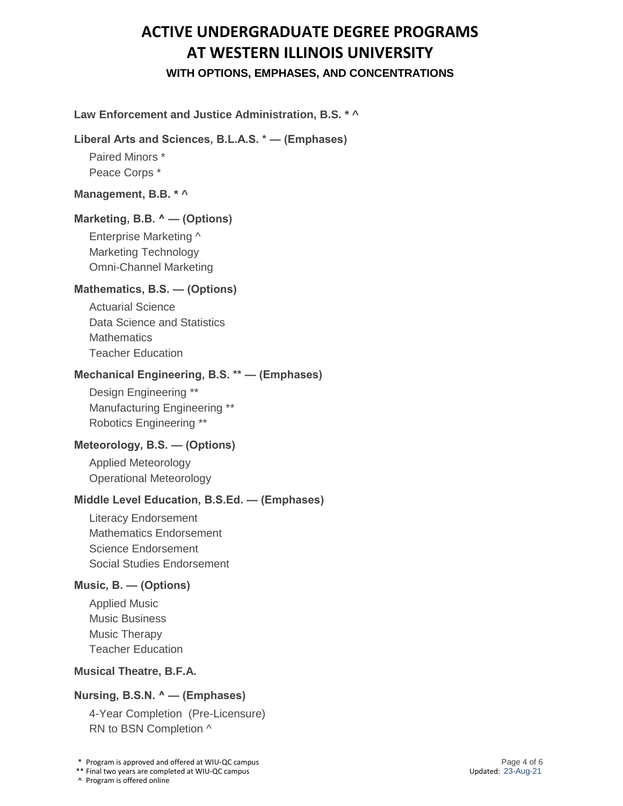### **Law Enforcement and Justice Administration, B.S. \* ^**

#### **Liberal Arts and Sciences, B.L.A.S. \* — (Emphases)**

Paired Minors \* Peace Corps \*

#### **Management, B.B. \* ^**

#### **Marketing, B.B. ^ — (Options)**

Enterprise Marketing ^ Marketing Technology Omni-Channel Marketing

#### **Mathematics, B.S. — (Options)**

Actuarial Science Data Science and Statistics **Mathematics** Teacher Education

#### **Mechanical Engineering, B.S. \*\* — (Emphases)**

Design Engineering \*\* Manufacturing Engineering \*\* Robotics Engineering \*\*

## **Meteorology, B.S. — (Options)**

Applied Meteorology Operational Meteorology

#### **Middle Level Education, B.S.Ed. — (Emphases)**

Literacy Endorsement Mathematics Endorsement Science Endorsement Social Studies Endorsement

### **Music, B. — (Options)**

Applied Music Music Business Music Therapy Teacher Education

### **Musical Theatre, B.F.A.**

#### **Nursing, B.S.N. ^ — (Emphases)**

4-Year Completion (Pre-Licensure) RN to BSN Completion ^

\* Program is approved and offered at WIU-QC campus

\*\* Final two years are completed at WIU-QC campus

^ Program is offered online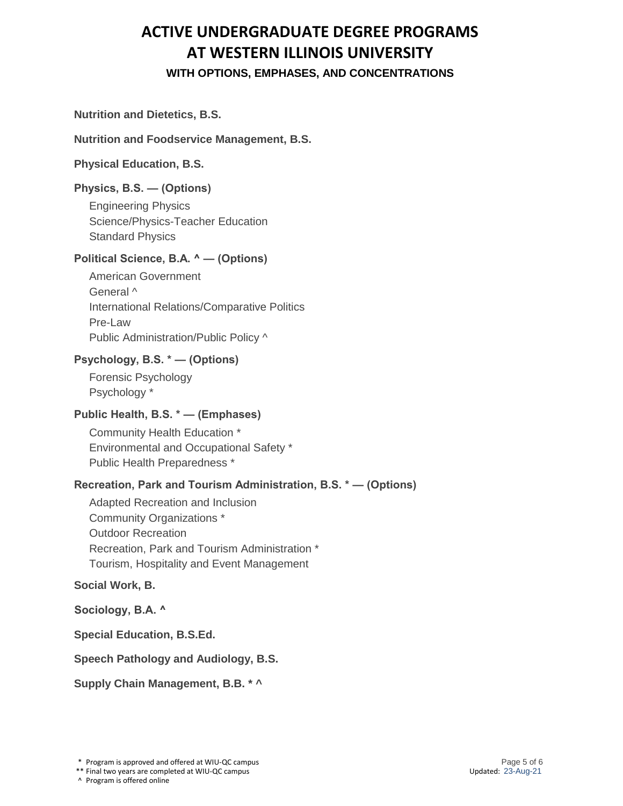#### **Nutrition and Dietetics, B.S.**

#### **Nutrition and Foodservice Management, B.S.**

### **Physical Education, B.S.**

## **Physics, B.S. — (Options)**

Engineering Physics Science/Physics-Teacher Education Standard Physics

## **Political Science, B.A. ^ — (Options)**

American Government General ^ International Relations/Comparative Politics Pre-Law Public Administration/Public Policy ^

## **Psychology, B.S. \* — (Options)**

Forensic Psychology Psychology \*

## **Public Health, B.S. \* — (Emphases)**

Community Health Education \* Environmental and Occupational Safety \* Public Health Preparedness \*

## **Recreation, Park and Tourism Administration, B.S. \* — (Options)**

Adapted Recreation and Inclusion Community Organizations \* Outdoor Recreation Recreation, Park and Tourism Administration \* Tourism, Hospitality and Event Management

#### **Social Work, B.**

**Sociology, B.A. ^**

**Special Education, B.S.Ed.**

#### **Speech Pathology and Audiology, B.S.**

**Supply Chain Management, B.B. \* ^**

<sup>\*</sup> Program is approved and offered at WIU-QC campus